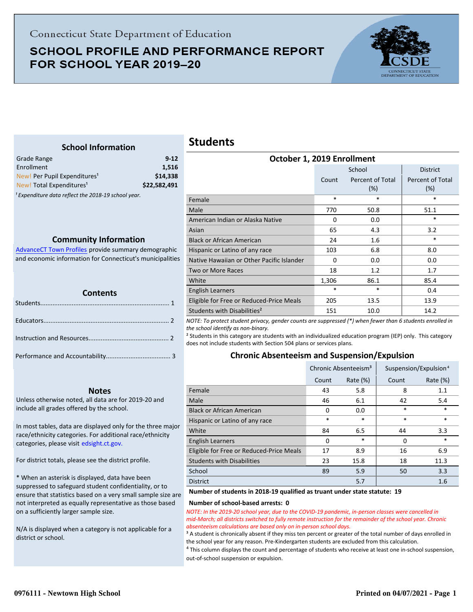# **SCHOOL PROFILE AND PERFORMANCE REPORT** FOR SCHOOL YEAR 2019-20



## **School Information**

<span id="page-0-0"></span>

| Grade Range                                                    | $9 - 12$     |
|----------------------------------------------------------------|--------------|
| Enrollment                                                     | 1.516        |
| New! Per Pupil Expenditures <sup>1</sup>                       | \$14,338     |
| New! Total Expenditures <sup>1</sup>                           | \$22,582,491 |
| <sup>1</sup> Expenditure data reflect the 2018-19 school year. |              |

**Community Information**

AdvanceCT Town Profiles provide summary demographic  [and economic information for Connecticut's municipalities](http://www.cerc.com/townprofiles/)

| <b>TELEVISION</b><br><b>Contents</b> |  |  |
|--------------------------------------|--|--|
|                                      |  |  |
|                                      |  |  |
|                                      |  |  |
|                                      |  |  |

#### **Notes**

Unless otherwise noted, all data are for 2019-20 and include all grades offered by the school.

[In most tables, data are displayed only for the three major](http://edsight.ct.gov/) race/ethnicity categories. For additional race/ethnicity categories, please visit edsight.ct.gov.

For district totals, please see the district profile.

\* When an asterisk is displayed, data have been suppressed to safeguard student confidentiality, or to ensure that statistics based on a very small sample size are not interpreted as equally representative as those based on a sufficiently larger sample size.

N/A is displayed when a category is not applicable for a district or school.

# **Students**

| October 1, 2019 Enrollment                |        |                         |                         |  |
|-------------------------------------------|--------|-------------------------|-------------------------|--|
|                                           |        | School                  | <b>District</b>         |  |
|                                           | Count  | Percent of Total<br>(%) | Percent of Total<br>(%) |  |
| Female                                    | $\ast$ | *                       | $\ast$                  |  |
| Male                                      | 770    | 50.8                    | 51.1                    |  |
| American Indian or Alaska Native          | 0      | 0.0                     | $\ast$                  |  |
| Asian                                     | 65     | 4.3                     | 3.2                     |  |
| <b>Black or African American</b>          | 24     | 1.6                     | $\ast$                  |  |
| Hispanic or Latino of any race            | 103    | 6.8                     | 8.0                     |  |
| Native Hawaiian or Other Pacific Islander | 0      | 0.0                     | 0.0                     |  |
| <b>Two or More Races</b>                  | 18     | 1.2                     | 1.7                     |  |
| White                                     | 1,306  | 86.1                    | 85.4                    |  |
| English Learners                          | *      | *                       | 0.4                     |  |
| Eligible for Free or Reduced-Price Meals  | 205    | 13.5                    | 13.9                    |  |
| Students with Disabilities <sup>2</sup>   | 151    | 10.0                    | 14.2                    |  |

*NOTE: To protect student privacy, gender counts are suppressed (\*) when fewer than 6 students enrolled in the school identify as non-binary.*

² Students in this category are students with an individualized education program (IEP) only. This category does not include students with Section 504 plans or services plans.

### **Chronic Absenteeism and Suspension/Expulsion**

|                                          | Chronic Absenteeism <sup>3</sup> |             |       | Suspension/Expulsion <sup>4</sup> |
|------------------------------------------|----------------------------------|-------------|-------|-----------------------------------|
|                                          | Count                            | Rate $(\%)$ | Count | Rate $(\%)$                       |
| Female                                   | 43                               | 5.8         | 8     | 1.1                               |
| Male                                     | 46                               | 6.1         | 42    | 5.4                               |
| <b>Black or African American</b>         | $\Omega$                         | 0.0         | *     | $\ast$                            |
| Hispanic or Latino of any race           | $\ast$                           | $\ast$      | *     | $\ast$                            |
| White                                    | 84                               | 6.5         | 44    | 3.3                               |
| <b>English Learners</b>                  | $\Omega$                         | $\ast$      | 0     | $\ast$                            |
| Eligible for Free or Reduced-Price Meals | 17                               | 8.9         | 16    | 6.9                               |
| <b>Students with Disabilities</b>        | 23                               | 15.8        | 18    | 11.3                              |
| School                                   | 89                               | 5.9         | 50    | 3.3                               |
| <b>District</b>                          |                                  | 5.7         |       | 1.6                               |

#### **Number of students in 2018-19 qualified as truant under state statute: 19**

#### **Number of school-based arrests: 0**

*NOTE: In the 2019-20 school year, due to the COVID-19 pandemic, in-person classes were cancelled in mid-March; all districts switched to fully remote instruction for the remainder of the school year. Chronic absenteeism calculations are based only on in-person school days.*

<sup>3</sup> A student is chronically absent if they miss ten percent or greater of the total number of days enrolled in the school year for any reason. Pre-Kindergarten students are excluded from this calculation.

 $4$  This column displays the count and percentage of students who receive at least one in-school suspension, out-of-school suspension or expulsion.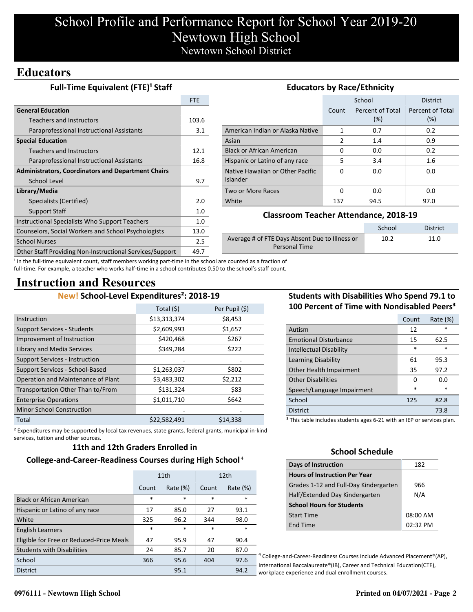# **Educators**

| <b>Full-Time Equivalent (FTE)<sup>1</sup> Staff</b>       | <b>Educators by Race/Ethnicity</b> |                                                                         |          |                  |                  |
|-----------------------------------------------------------|------------------------------------|-------------------------------------------------------------------------|----------|------------------|------------------|
|                                                           | FTE                                |                                                                         |          | School           | <b>District</b>  |
| <b>General Education</b>                                  |                                    |                                                                         | Count    | Percent of Total | Percent of Total |
| <b>Teachers and Instructors</b>                           | 103.6                              |                                                                         |          | (%)              | (%)              |
| Paraprofessional Instructional Assistants                 | 3.1                                | American Indian or Alaska Native                                        | 1        | 0.7              | 0.2              |
| <b>Special Education</b>                                  |                                    | Asian                                                                   | 2        | 1.4              | 0.9              |
| <b>Teachers and Instructors</b>                           | 12.1                               | <b>Black or African American</b>                                        | 0        | 0.0              | 0.2              |
| Paraprofessional Instructional Assistants                 | 16.8                               | Hispanic or Latino of any race                                          | 5        | 3.4              | $1.6\phantom{0}$ |
| <b>Administrators, Coordinators and Department Chairs</b> |                                    | Native Hawaiian or Other Pacific                                        | $\Omega$ | 0.0              | 0.0              |
| School Level                                              | 9.7                                | <b>Islander</b>                                                         |          |                  |                  |
| Library/Media                                             |                                    | Two or More Races                                                       | 0        | 0.0              | 0.0              |
| Specialists (Certified)                                   | 2.0                                | White                                                                   | 137      | 94.5             | 97.0             |
| Support Staff                                             | 1.0                                | <b>Classroom Teacher Attendance, 2018-19</b>                            |          |                  |                  |
| Instructional Specialists Who Support Teachers            | 1.0                                |                                                                         |          |                  |                  |
| Counselors, Social Workers and School Psychologists       | 13.0                               |                                                                         |          | School           | <b>District</b>  |
| <b>School Nurses</b>                                      | 2.5                                | Average # of FTE Days Absent Due to Illness or<br>10.2<br>Personal Time |          | 11.0             |                  |
| Other Staff Providing Non-Instructional Services/Support  | 49.7                               |                                                                         |          |                  |                  |

<sup>1</sup> In the full-time equivalent count, staff members working part-time in the school are counted as a fraction of full-time. For example, a teacher who works half-time in a school contributes 0.50 to the school's staff count.

# **Instruction and Resources**

# **New! School-Level Expenditures²: 2018-19**

|                                       | Total (\$)   | Per Pupil (\$) |
|---------------------------------------|--------------|----------------|
| Instruction                           | \$13,313,374 | \$8,453        |
| <b>Support Services - Students</b>    | \$2,609,993  | \$1,657        |
| Improvement of Instruction            | \$420,468    | \$267          |
| Library and Media Services            | \$349,284    | \$222          |
| <b>Support Services - Instruction</b> |              |                |
| Support Services - School-Based       | \$1,263,037  | \$802          |
| Operation and Maintenance of Plant    | \$3,483,302  | \$2,212        |
| Transportation Other Than to/From     | \$131,324    | \$83           |
| <b>Enterprise Operations</b>          | \$1,011,710  | \$642          |
| <b>Minor School Construction</b>      |              |                |
| Total                                 | \$22,582,491 | \$14,338       |

# **Students with Disabilities Who Spend 79.1 to 100 Percent of Time with Nondisabled Peers³**

|                                                                                   | Count | Rate (%) |  |
|-----------------------------------------------------------------------------------|-------|----------|--|
| Autism                                                                            | 12    | *        |  |
| <b>Emotional Disturbance</b>                                                      | 15    | 62.5     |  |
| <b>Intellectual Disability</b>                                                    | *     | *        |  |
| Learning Disability                                                               | 61    | 95.3     |  |
| Other Health Impairment                                                           | 35    | 97.2     |  |
| <b>Other Disabilities</b>                                                         | 0     | 0.0      |  |
| Speech/Language Impairment                                                        | *     | $\ast$   |  |
| School                                                                            | 125   | 82.8     |  |
| <b>District</b>                                                                   |       | 73.8     |  |
| <sup>3</sup> This table includes students ages 6-21 with an IEP or services plan. |       |          |  |

² Expenditures may be supported by local tax revenues, state grants, federal grants, municipal in-kind services, tuition and other sources.

### **11th and 12th Graders Enrolled in**

### **College-and-Career-Readiness Courses during High School**⁴

|                                          | 11th   |             | 12 <sub>th</sub> |             |
|------------------------------------------|--------|-------------|------------------|-------------|
|                                          | Count  | Rate $(\%)$ | Count            | Rate $(\%)$ |
| <b>Black or African American</b>         | $\ast$ | $\ast$      | $\ast$           | $\ast$      |
| Hispanic or Latino of any race           | 17     | 85.0        | 27               | 93.1        |
| White                                    | 325    | 96.2        | 344              | 98.0        |
| <b>English Learners</b>                  | $\ast$ | $\ast$      | $\ast$           | $\ast$      |
| Eligible for Free or Reduced-Price Meals | 47     | 95.9        | 47               | 90.4        |
| <b>Students with Disabilities</b>        | 24     | 85.7        | 20               | 87.0        |
| School                                   | 366    | 95.6        | 404              | 97.6        |
| <b>District</b>                          |        | 95.1        |                  | 94.2        |

# **School Schedule**

| <b>Days of Instruction</b>            | 182        |
|---------------------------------------|------------|
| <b>Hours of Instruction Per Year</b>  |            |
| Grades 1-12 and Full-Day Kindergarten | 966        |
| Half/Extended Day Kindergarten        | N/A        |
| <b>School Hours for Students</b>      |            |
| <b>Start Time</b>                     | 08:00 AM   |
| <b>End Time</b>                       | $02:32$ PM |

⁴ College-and-Career-Readiness Courses include Advanced Placement®(AP), International Baccalaureate®(IB), Career and Technical Education(CTE), workplace experience and dual enrollment courses.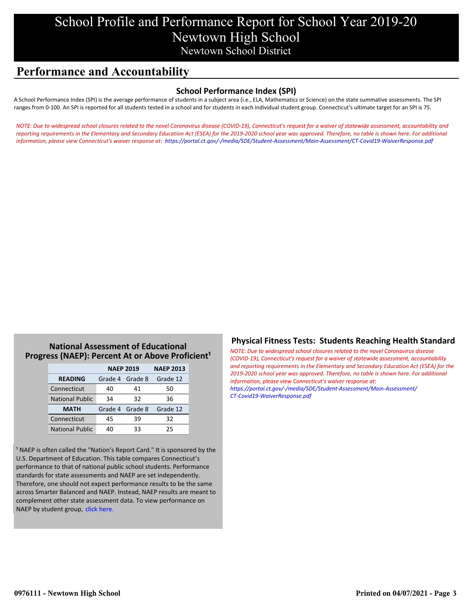# **Performance and Accountability**

## **School Performance Index (SPI)**

A School Performance Index (SPI) is the average performance of students in a subject area (i.e., ELA, Mathematics or Science) on the state summative assessments. The SPI ranges from 0-100. An SPI is reported for all students tested in a school and for students in each individual student group. Connecticut's ultimate target for an SPI is 75.

*[NOTE: Due to widespread school closures related to the novel Coronavirus disease \(COVID-19\), Connecticut's request for a waiver of statewide assessment, accountability and](https://portal.ct.gov/-/media/SDE/Student-Assessment/Main-Assessment/CT-Covid19-WaiverResponse.pdf) reporting requirements in the Elementary and Secondary Education Act (ESEA) for the 2019-2020 school year was approved. Therefore, no table is shown here. For additional information, please view Connecticut's waiver response at: https://portal.ct.gov/-/media/SDE/Student-Assessment/Main-Assessment/CT-Covid19-WaiverResponse.pdf*

## **National Assessment of Educational Progress (NAEP): Percent At or Above Proficient<sup>1</sup>**

|                        | <b>NAEP 2019</b> | <b>NAEP 2013</b> |          |
|------------------------|------------------|------------------|----------|
| <b>READING</b>         | Grade 4 Grade 8  |                  | Grade 12 |
| Connecticut            | 40               | 41               | 50       |
| <b>National Public</b> | 34               | 32               | 36       |
| <b>MATH</b>            | Grade 4 Grade 8  |                  | Grade 12 |
| Connecticut            | 45               | 39               | 32       |
| <b>National Public</b> | 40               | 33               | 25       |

<sup>1</sup> NAEP is often called the "Nation's Report Card." It is sponsored by the U.S. Department of Education. This table compares Connecticut's performance to that of national public school students. Performance standards for state assessments and NAEP are set independently. Therefore, one should not expect performance results to be the same across Smarter Balanced and NAEP. Instead, NAEP results are meant to complement other state assessment data. To view performance on NAEP by student group, click here.

## **Physical Fitness Tests: Students Reaching Health Standard**

*NOTE: Due to widespread school closures related to the novel Coronavirus disease (COVID-19), Connecticut's request for a waiver of statewide assessment, accountability [and reporting requirements in the Elementary and Secondary Education Act \(ESEA\) for the](https://portal.ct.gov/-/media/SDE/Student-Assessment/Main-Assessment/CT-Covid19-WaiverResponse.pdf) 2019-2020 school year was approved. Therefore, no table is shown here. For additional information, please view Connecticut's waiver response at: https://portal.ct.gov/-/media/SDE/Student-Assessment/Main-Assessment/ CT-Covid19-WaiverResponse.pdf*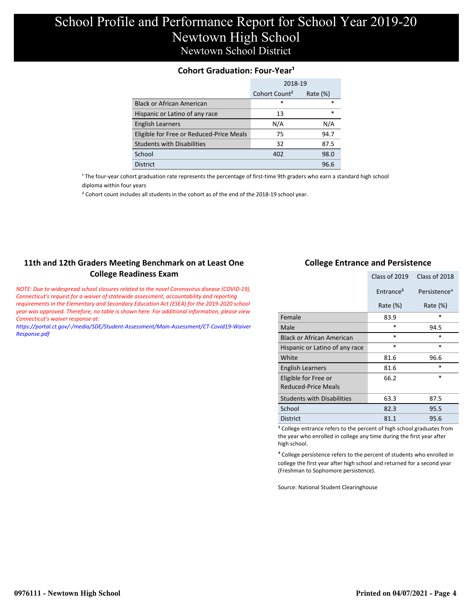## **Cohort Graduation: Four-Year<sup>1</sup>**

|                                          | 2018-19                   |             |  |
|------------------------------------------|---------------------------|-------------|--|
|                                          | Cohort Count <sup>2</sup> | Rate $(\%)$ |  |
| <b>Black or African American</b>         | $\ast$                    | *           |  |
| Hispanic or Latino of any race           | 13                        | $\ast$      |  |
| <b>English Learners</b>                  | N/A                       | N/A         |  |
| Eligible for Free or Reduced-Price Meals | 75                        | 94.7        |  |
| <b>Students with Disabilities</b>        | 32                        | 87.5        |  |
| School                                   | 402                       | 98.0        |  |
| <b>District</b>                          |                           | 96.6        |  |

<sup>1</sup> The four-year cohort graduation rate represents the percentage of first-time 9th graders who earn a standard high school [diploma within four years.](http://www.sde.ct.gov/sde/cwp/view.asp?a=2758&q=334898)

² Cohort count includes all students in the cohort as of the end of the 2018-19 school year.

## **11th and 12th Graders Meeting Benchmark on at Least One College Readiness Exam**

*NOTE: Due to widespread school closures related to the novel Coronavirus disease (COVID-19), Connecticut's request for a waiver of statewide assessment, accountability and reporting requirements in the Elementary and Secondary Education Act (ESEA) for the 2019-2020 school year was approved. Therefore, no table is shown here. For additional information, please view Connecticut's waiver response at:*

*[https://portal.ct.gov/-/media/SDE/Student-Assessment/Main-Assessment/CT-Covid19-Waiver](https://portal.ct.gov/-/media/SDE/Student-Assessment/Main-Assessment/CT-Covid19-WaiverResponse.pdf) Response.pdf*

### **College Entrance and Persistence**

|                                             | Class of 2019         | Class of 2018            |
|---------------------------------------------|-----------------------|--------------------------|
|                                             | Entrance <sup>3</sup> | Persistence <sup>4</sup> |
|                                             | Rate $(\%)$           | Rate $(\%)$              |
| Female                                      | 83.9                  | *                        |
| Male                                        | $\ast$                | 94.5                     |
| <b>Black or African American</b>            | *                     | $\ast$                   |
| Hispanic or Latino of any race              | *                     | $\ast$                   |
| White                                       | 81.6                  | 96.6                     |
| English Learners                            | 81.6                  | *                        |
| Eligible for Free or<br>Reduced-Price Meals | 66.2                  | *                        |
| <b>Students with Disabilities</b>           | 63.3                  | 87.5                     |
| School                                      | 82.3                  | 95.5                     |
| <b>District</b>                             | 81.1                  | 95.6                     |

<sup>3</sup> College entrance refers to the percent of high school graduates from the year who enrolled in college any time during the first year after high school.

⁴ College persistence refers to the percent of students who enrolled in college the first year after high school and returned for a second year (Freshman to Sophomore persistence).

Source: National Student Clearinghouse